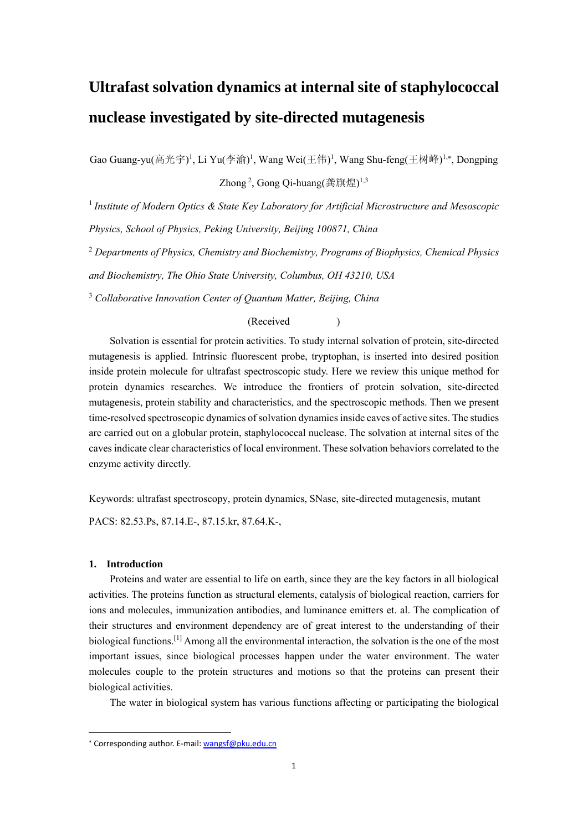# **Ultrafast solvation dynamics at internal site of staphylococcal nuclease investigated by site-directed mutagenesis**

Gao Guang-yu(高光宇)<sup>1</sup>, Li Yu(李渝)<sup>1</sup>, Wang Wei(王伟)<sup>1</sup>, Wang Shu-feng(王树峰)<sup>1,\*</sup>, Dongping Zhong<sup>2</sup>, Gong Qi-huang(龚旗煌)<sup>1,3</sup>

<sup>1</sup>*Institute of Modern Optics & State Key Laboratory for Artificial Microstructure and Mesoscopic Physics, School of Physics, Peking University, Beijing 100871, China* 

<sup>2</sup> *Departments of Physics, Chemistry and Biochemistry, Programs of Biophysics, Chemical Physics* 

*and Biochemistry, The Ohio State University, Columbus, OH 43210, USA* 

3  *Collaborative Innovation Center of Quantum Matter, Beijing, China*

# (Received )

Solvation is essential for protein activities. To study internal solvation of protein, site-directed mutagenesis is applied. Intrinsic fluorescent probe, tryptophan, is inserted into desired position inside protein molecule for ultrafast spectroscopic study. Here we review this unique method for protein dynamics researches. We introduce the frontiers of protein solvation, site-directed mutagenesis, protein stability and characteristics, and the spectroscopic methods. Then we present time-resolved spectroscopic dynamics of solvation dynamics inside caves of active sites. The studies are carried out on a globular protein, staphylococcal nuclease. The solvation at internal sites of the caves indicate clear characteristics of local environment. These solvation behaviors correlated to the enzyme activity directly.

Keywords: ultrafast spectroscopy, protein dynamics, SNase, site-directed mutagenesis, mutant

PACS: 82.53.Ps, 87.14.E-, 87.15.kr, 87.64.K-,

# **1. Introduction**

Proteins and water are essential to life on earth, since they are the key factors in all biological activities. The proteins function as structural elements, catalysis of biological reaction, carriers for ions and molecules, immunization antibodies, and luminance emitters et. al. The complication of their structures and environment dependency are of great interest to the understanding of their biological functions.<sup>[1]</sup> Among all the environmental interaction, the solvation is the one of the most important issues, since biological processes happen under the water environment. The water molecules couple to the protein structures and motions so that the proteins can present their biological activities.

The water in biological system has various functions affecting or participating the biological

Corresponding author. E‐mail: wangsf@pku.edu.cn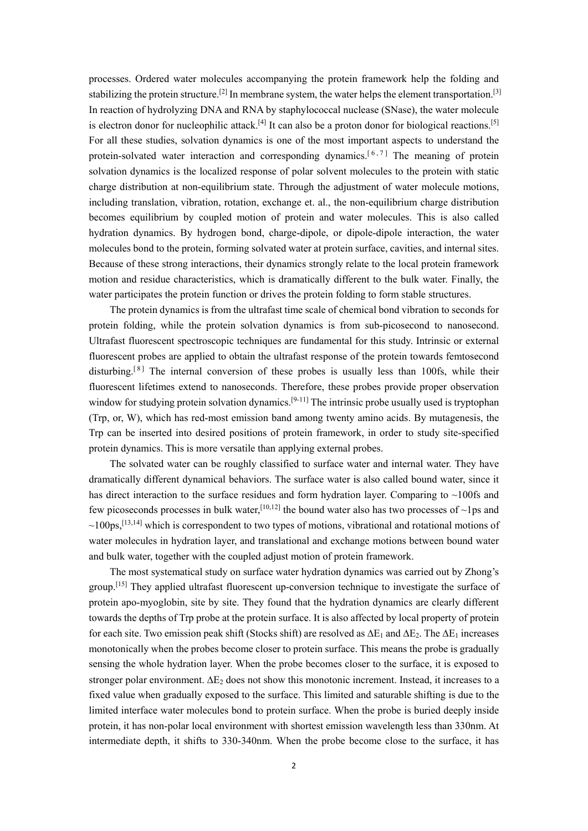processes. Ordered water molecules accompanying the protein framework help the folding and stabilizing the protein structure.<sup>[2]</sup> In membrane system, the water helps the element transportation.<sup>[3]</sup> In reaction of hydrolyzing DNA and RNA by staphylococcal nuclease (SNase), the water molecule is electron donor for nucleophilic attack.<sup>[4]</sup> It can also be a proton donor for biological reactions.<sup>[5]</sup> For all these studies, solvation dynamics is one of the most important aspects to understand the protein-solvated water interaction and corresponding dynamics.<sup>[6,7]</sup> The meaning of protein solvation dynamics is the localized response of polar solvent molecules to the protein with static charge distribution at non-equilibrium state. Through the adjustment of water molecule motions, including translation, vibration, rotation, exchange et. al., the non-equilibrium charge distribution becomes equilibrium by coupled motion of protein and water molecules. This is also called hydration dynamics. By hydrogen bond, charge-dipole, or dipole-dipole interaction, the water molecules bond to the protein, forming solvated water at protein surface, cavities, and internal sites. Because of these strong interactions, their dynamics strongly relate to the local protein framework motion and residue characteristics, which is dramatically different to the bulk water. Finally, the water participates the protein function or drives the protein folding to form stable structures.

The protein dynamics is from the ultrafast time scale of chemical bond vibration to seconds for protein folding, while the protein solvation dynamics is from sub-picosecond to nanosecond. Ultrafast fluorescent spectroscopic techniques are fundamental for this study. Intrinsic or external fluorescent probes are applied to obtain the ultrafast response of the protein towards femtosecond disturbing.<sup>[8]</sup> The internal conversion of these probes is usually less than 100fs, while their fluorescent lifetimes extend to nanoseconds. Therefore, these probes provide proper observation window for studying protein solvation dynamics.<sup>[9-11]</sup> The intrinsic probe usually used is tryptophan (Trp, or, W), which has red-most emission band among twenty amino acids. By mutagenesis, the Trp can be inserted into desired positions of protein framework, in order to study site-specified protein dynamics. This is more versatile than applying external probes.

The solvated water can be roughly classified to surface water and internal water. They have dramatically different dynamical behaviors. The surface water is also called bound water, since it has direct interaction to the surface residues and form hydration layer. Comparing to  $\sim$ 100fs and few picoseconds processes in bulk water,  $[10,12]$  the bound water also has two processes of ~1ps and  $\sim$ 100ps,<sup>[13,14]</sup> which is correspondent to two types of motions, vibrational and rotational motions of water molecules in hydration layer, and translational and exchange motions between bound water and bulk water, together with the coupled adjust motion of protein framework.

The most systematical study on surface water hydration dynamics was carried out by Zhong's group.[15] They applied ultrafast fluorescent up-conversion technique to investigate the surface of protein apo-myoglobin, site by site. They found that the hydration dynamics are clearly different towards the depths of Trp probe at the protein surface. It is also affected by local property of protein for each site. Two emission peak shift (Stocks shift) are resolved as  $\Delta E_1$  and  $\Delta E_2$ . The  $\Delta E_1$  increases monotonically when the probes become closer to protein surface. This means the probe is gradually sensing the whole hydration layer. When the probe becomes closer to the surface, it is exposed to stronger polar environment.  $\Delta E_2$  does not show this monotonic increment. Instead, it increases to a fixed value when gradually exposed to the surface. This limited and saturable shifting is due to the limited interface water molecules bond to protein surface. When the probe is buried deeply inside protein, it has non-polar local environment with shortest emission wavelength less than 330nm. At intermediate depth, it shifts to 330-340nm. When the probe become close to the surface, it has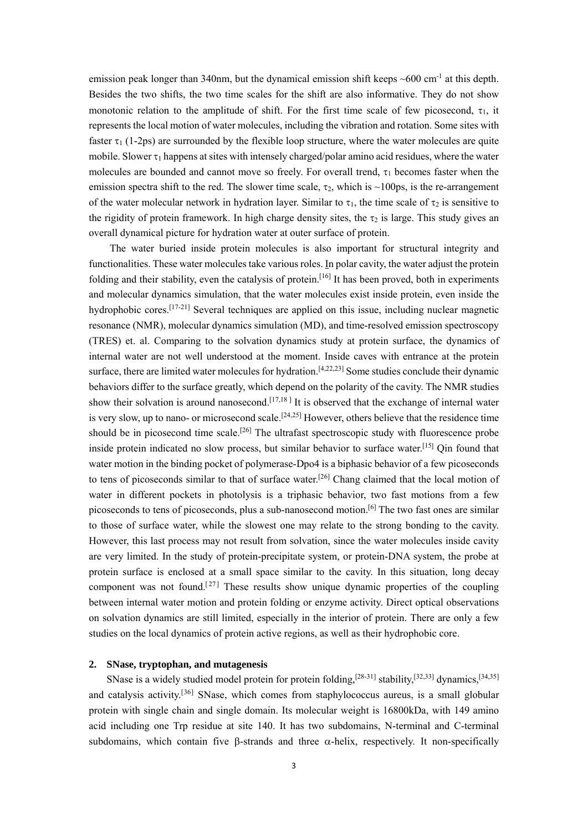emission peak longer than 340nm, but the dynamical emission shift keeps  $\sim 600 \text{ cm}^{-1}$  at this depth. Besides the two shifts, the two time scales for the shift are also informative. They do not show monotonic relation to the amplitude of shift. For the first time scale of few picosecond,  $\tau_1$ , it represents the local motion of water molecules, including the vibration and rotation. Some sites with faster  $\tau_1$  (1-2ps) are surrounded by the flexible loop structure, where the water molecules are quite mobile. Slower  $\tau_1$  happens at sites with intensely charged/polar amino acid residues, where the water molecules are bounded and cannot move so freely. For overall trend,  $\tau_1$  becomes faster when the emission spectra shift to the red. The slower time scale,  $\tau_2$ , which is ~100ps, is the re-arrangement of the water molecular network in hydration layer. Similar to  $\tau_1$ , the time scale of  $\tau_2$  is sensitive to the rigidity of protein framework. In high charge density sites, the  $\tau_2$  is large. This study gives an overall dynamical picture for hydration water at outer surface of protein.

The water buried inside protein molecules is also important for structural integrity and functionalities. These water molecules take various roles. In polar cavity, the water adjust the protein folding and their stability, even the catalysis of protein.<sup>[16]</sup> It has been proved, both in experiments and molecular dynamics simulation, that the water molecules exist inside protein, even inside the hydrophobic cores.<sup>[17-21]</sup> Several techniques are applied on this issue, including nuclear magnetic resonance (NMR), molecular dynamics simulation (MD), and time-resolved emission spectroscopy (TRES) et. al. Comparing to the solvation dynamics study at protein surface, the dynamics of internal water are not well understood at the moment. Inside caves with entrance at the protein surface, there are limited water molecules for hydration.<sup>[4,22,23]</sup> Some studies conclude their dynamic behaviors differ to the surface greatly, which depend on the polarity of the cavity. The NMR studies show their solvation is around nanosecond.<sup>[17,18]</sup> It is observed that the exchange of internal water is very slow, up to nano- or microsecond scale.<sup>[24,25]</sup> However, others believe that the residence time should be in picosecond time scale.<sup>[26]</sup> The ultrafast spectroscopic study with fluorescence probe inside protein indicated no slow process, but similar behavior to surface water.<sup>[15]</sup> Qin found that water motion in the binding pocket of polymerase-Dpo4 is a biphasic behavior of a few picoseconds to tens of picoseconds similar to that of surface water.<sup>[26]</sup> Chang claimed that the local motion of water in different pockets in photolysis is a triphasic behavior, two fast motions from a few picoseconds to tens of picoseconds, plus a sub-nanosecond motion.[6] The two fast ones are similar to those of surface water, while the slowest one may relate to the strong bonding to the cavity. However, this last process may not result from solvation, since the water molecules inside cavity are very limited. In the study of protein-precipitate system, or protein-DNA system, the probe at protein surface is enclosed at a small space similar to the cavity. In this situation, long decay component was not found.<sup>[27]</sup> These results show unique dynamic properties of the coupling between internal water motion and protein folding or enzyme activity. Direct optical observations on solvation dynamics are still limited, especially in the interior of protein. There are only a few studies on the local dynamics of protein active regions, as well as their hydrophobic core.

## **2. SNase, tryptophan, and mutagenesis**

SNase is a widely studied model protein for protein folding,  $[28-31]$  stability,  $[32,33]$  dynamics,  $[34,35]$ and catalysis activity.<sup>[36]</sup> SNase, which comes from staphylococcus aureus, is a small globular protein with single chain and single domain. Its molecular weight is 16800kDa, with 149 amino acid including one Trp residue at site 140. It has two subdomains, N-terminal and C-terminal subdomains, which contain five  $\beta$ -strands and three  $\alpha$ -helix, respectively. It non-specifically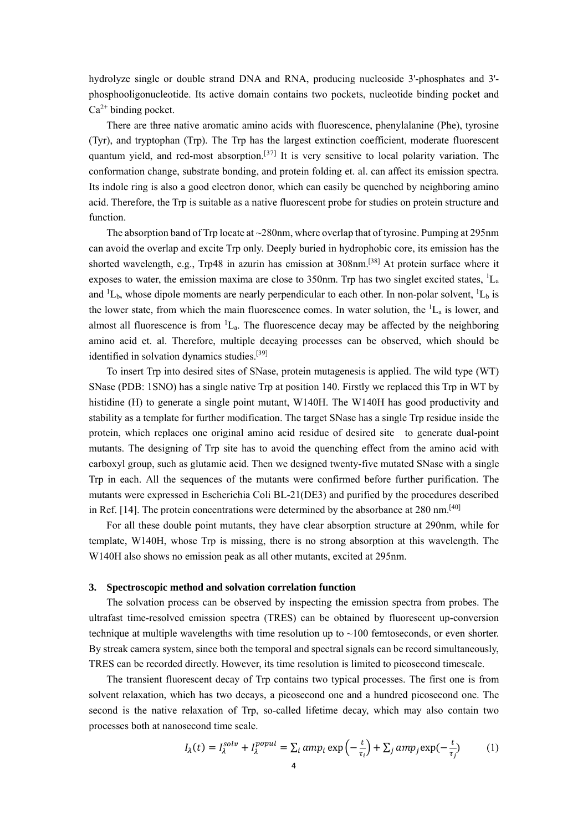hydrolyze single or double strand DNA and RNA, producing nucleoside 3'-phosphates and 3' phosphooligonucleotide. Its active domain contains two pockets, nucleotide binding pocket and  $Ca<sup>2+</sup>$  binding pocket.

There are three native aromatic amino acids with fluorescence, phenylalanine (Phe), tyrosine (Tyr), and tryptophan (Trp). The Trp has the largest extinction coefficient, moderate fluorescent quantum yield, and red-most absorption.<sup>[37]</sup> It is very sensitive to local polarity variation. The conformation change, substrate bonding, and protein folding et. al. can affect its emission spectra. Its indole ring is also a good electron donor, which can easily be quenched by neighboring amino acid. Therefore, the Trp is suitable as a native fluorescent probe for studies on protein structure and function.

The absorption band of Trp locate at  $\sim$  280nm, where overlap that of tyrosine. Pumping at 295nm can avoid the overlap and excite Trp only. Deeply buried in hydrophobic core, its emission has the shorted wavelength, e.g., Trp48 in azurin has emission at 308nm.[38] At protein surface where it exposes to water, the emission maxima are close to 350nm. Trp has two singlet excited states,  ${}^{1}L_{a}$ and  ${}^{1}L_{b}$ , whose dipole moments are nearly perpendicular to each other. In non-polar solvent,  ${}^{1}L_{b}$  is the lower state, from which the main fluorescence comes. In water solution, the  ${}^{1}L_{a}$  is lower, and almost all fluorescence is from  ${}^{1}L_{a}$ . The fluorescence decay may be affected by the neighboring amino acid et. al. Therefore, multiple decaying processes can be observed, which should be identified in solvation dynamics studies.<sup>[39]</sup>

To insert Trp into desired sites of SNase, protein mutagenesis is applied. The wild type (WT) SNase (PDB: 1SNO) has a single native Trp at position 140. Firstly we replaced this Trp in WT by histidine (H) to generate a single point mutant, W140H. The W140H has good productivity and stability as a template for further modification. The target SNase has a single Trp residue inside the protein, which replaces one original amino acid residue of desired site to generate dual-point mutants. The designing of Trp site has to avoid the quenching effect from the amino acid with carboxyl group, such as glutamic acid. Then we designed twenty-five mutated SNase with a single Trp in each. All the sequences of the mutants were confirmed before further purification. The mutants were expressed in Escherichia Coli BL-21(DE3) and purified by the procedures described in Ref. [14]. The protein concentrations were determined by the absorbance at 280 nm.<sup>[40]</sup>

For all these double point mutants, they have clear absorption structure at 290nm, while for template, W140H, whose Trp is missing, there is no strong absorption at this wavelength. The W140H also shows no emission peak as all other mutants, excited at 295nm.

#### **3. Spectroscopic method and solvation correlation function**

The solvation process can be observed by inspecting the emission spectra from probes. The ultrafast time-resolved emission spectra (TRES) can be obtained by fluorescent up-conversion technique at multiple wavelengths with time resolution up to  $\sim$ 100 femtoseconds, or even shorter. By streak camera system, since both the temporal and spectral signals can be record simultaneously, TRES can be recorded directly. However, its time resolution is limited to picosecond timescale.

The transient fluorescent decay of Trp contains two typical processes. The first one is from solvent relaxation, which has two decays, a picosecond one and a hundred picosecond one. The second is the native relaxation of Trp, so-called lifetime decay, which may also contain two processes both at nanosecond time scale.

$$
I_{\lambda}(t) = I_{\lambda}^{solv} + I_{\lambda}^{popul} = \sum_{i} amp_{i} \exp\left(-\frac{t}{\tau_{i}}\right) + \sum_{j} amp_{j} \exp(-\frac{t}{\tau_{j}})
$$
(1)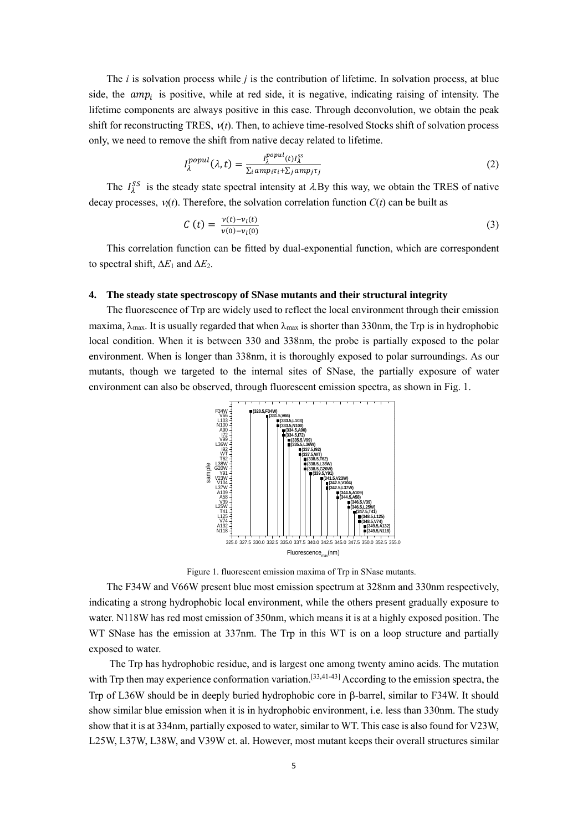The *i* is solvation process while *j* is the contribution of lifetime. In solvation process, at blue side, the  $amp_i$  is positive, while at red side, it is negative, indicating raising of intensity. The lifetime components are always positive in this case. Through deconvolution, we obtain the peak shift for reconstructing TRES,  $v(t)$ . Then, to achieve time-resolved Stocks shift of solvation process only, we need to remove the shift from native decay related to lifetime.

$$
I_{\lambda}^{popul}(\lambda, t) = \frac{I_{\lambda}^{popul}(t)I_{\lambda}^{ss}}{\sum_{i}amp_{i}\tau_{i} + \sum_{j}amp_{j}\tau_{j}}
$$
(2)

The  $I_{\lambda}^{SS}$  is the steady state spectral intensity at  $\lambda$ . By this way, we obtain the TRES of native decay processes,  $v(t)$ . Therefore, the solvation correlation function  $C(t)$  can be built as

$$
C(t) = \frac{v(t) - v_l(t)}{v(0) - v_l(0)}\tag{3}
$$

This correlation function can be fitted by dual-exponential function, which are correspondent to spectral shift,  $\Delta E_1$  and  $\Delta E_2$ .

## **4. The steady state spectroscopy of SNase mutants and their structural integrity**

The fluorescence of Trp are widely used to reflect the local environment through their emission maxima,  $\lambda_{\text{max}}$ . It is usually regarded that when  $\lambda_{\text{max}}$  is shorter than 330nm, the Trp is in hydrophobic local condition. When it is between 330 and 338nm, the probe is partially exposed to the polar environment. When is longer than 338nm, it is thoroughly exposed to polar surroundings. As our mutants, though we targeted to the internal sites of SNase, the partially exposure of water environment can also be observed, through fluorescent emission spectra, as shown in Fig. 1.



Figure 1. fluorescent emission maxima of Trp in SNase mutants.

The F34W and V66W present blue most emission spectrum at 328nm and 330nm respectively, indicating a strong hydrophobic local environment, while the others present gradually exposure to water. N118W has red most emission of 350nm, which means it is at a highly exposed position. The WT SNase has the emission at 337nm. The Trp in this WT is on a loop structure and partially exposed to water.

 The Trp has hydrophobic residue, and is largest one among twenty amino acids. The mutation with Trp then may experience conformation variation.<sup>[33,41-43]</sup> According to the emission spectra, the Trp of L36W should be in deeply buried hydrophobic core in  $\beta$ -barrel, similar to F34W. It should show similar blue emission when it is in hydrophobic environment, i.e. less than 330nm. The study show that it is at 334nm, partially exposed to water, similar to WT. This case is also found for V23W, L25W, L37W, L38W, and V39W et. al. However, most mutant keeps their overall structures similar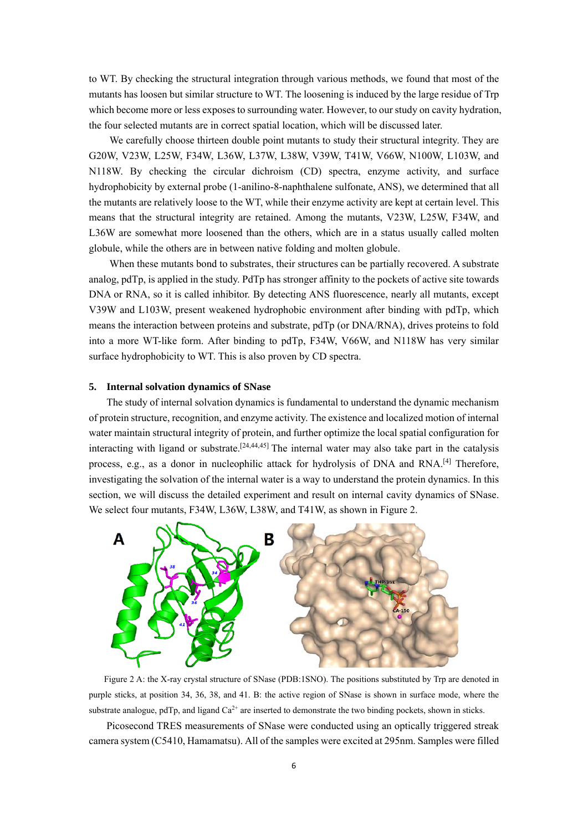to WT. By checking the structural integration through various methods, we found that most of the mutants has loosen but similar structure to WT. The loosening is induced by the large residue of Trp which become more or less exposes to surrounding water. However, to our study on cavity hydration, the four selected mutants are in correct spatial location, which will be discussed later.

 We carefully choose thirteen double point mutants to study their structural integrity. They are G20W, V23W, L25W, F34W, L36W, L37W, L38W, V39W, T41W, V66W, N100W, L103W, and N118W. By checking the circular dichroism (CD) spectra, enzyme activity, and surface hydrophobicity by external probe (1-anilino-8-naphthalene sulfonate, ANS), we determined that all the mutants are relatively loose to the WT, while their enzyme activity are kept at certain level. This means that the structural integrity are retained. Among the mutants, V23W, L25W, F34W, and L36W are somewhat more loosened than the others, which are in a status usually called molten globule, while the others are in between native folding and molten globule.

 When these mutants bond to substrates, their structures can be partially recovered. A substrate analog, pdTp, is applied in the study. PdTp has stronger affinity to the pockets of active site towards DNA or RNA, so it is called inhibitor. By detecting ANS fluorescence, nearly all mutants, except V39W and L103W, present weakened hydrophobic environment after binding with pdTp, which means the interaction between proteins and substrate, pdTp (or DNA/RNA), drives proteins to fold into a more WT-like form. After binding to pdTp, F34W, V66W, and N118W has very similar surface hydrophobicity to WT. This is also proven by CD spectra.

#### **5. Internal solvation dynamics of SNase**

The study of internal solvation dynamics is fundamental to understand the dynamic mechanism of protein structure, recognition, and enzyme activity. The existence and localized motion of internal water maintain structural integrity of protein, and further optimize the local spatial configuration for interacting with ligand or substrate.<sup>[24,44,45]</sup> The internal water may also take part in the catalysis process, e.g., as a donor in nucleophilic attack for hydrolysis of DNA and RNA.<sup>[4]</sup> Therefore, investigating the solvation of the internal water is a way to understand the protein dynamics. In this section, we will discuss the detailed experiment and result on internal cavity dynamics of SNase. We select four mutants, F34W, L36W, L38W, and T41W, as shown in Figure 2.



Figure 2 A: the X-ray crystal structure of SNase (PDB:1SNO). The positions substituted by Trp are denoted in purple sticks, at position 34, 36, 38, and 41. B: the active region of SNase is shown in surface mode, where the substrate analogue, pdTp, and ligand  $Ca<sup>2+</sup>$  are inserted to demonstrate the two binding pockets, shown in sticks.

Picosecond TRES measurements of SNase were conducted using an optically triggered streak camera system (C5410, Hamamatsu). All of the samples were excited at 295nm. Samples were filled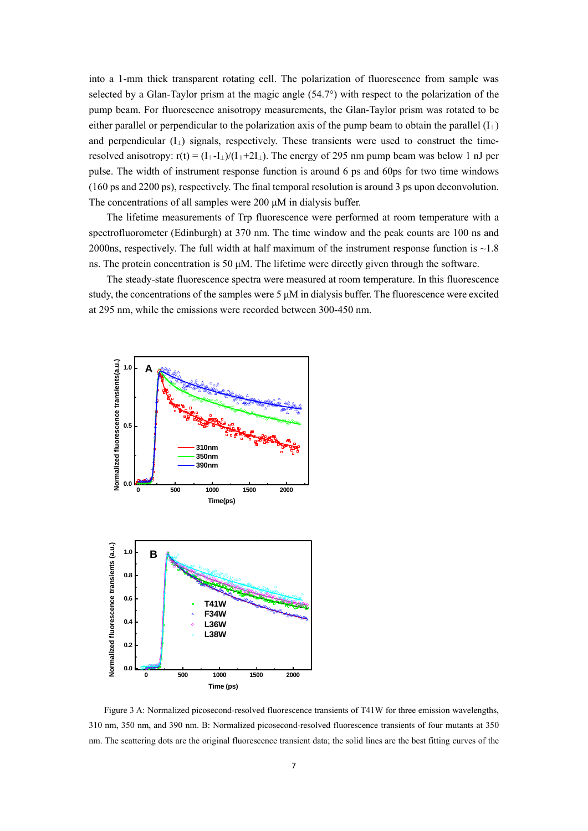into a 1-mm thick transparent rotating cell. The polarization of fluorescence from sample was selected by a Glan-Taylor prism at the magic angle (54.7°) with respect to the polarization of the pump beam. For fluorescence anisotropy measurements, the Glan-Taylor prism was rotated to be either parallel or perpendicular to the polarization axis of the pump beam to obtain the parallel  $(I_{\parallel})$ and perpendicular  $(I<sub>1</sub>)$  signals, respectively. These transients were used to construct the timeresolved anisotropy:  $r(t) = (I_{\parallel} - I_{\perp})/(I_{\parallel} + 2I_{\perp})$ . The energy of 295 nm pump beam was below 1 nJ per pulse. The width of instrument response function is around 6 ps and 60ps for two time windows (160 ps and 2200 ps), respectively. The final temporal resolution is around 3 ps upon deconvolution. The concentrations of all samples were 200 μM in dialysis buffer.

The lifetime measurements of Trp fluorescence were performed at room temperature with a spectrofluorometer (Edinburgh) at 370 nm. The time window and the peak counts are 100 ns and 2000ns, respectively. The full width at half maximum of the instrument response function is  $\sim$  1.8 ns. The protein concentration is 50 μM. The lifetime were directly given through the software.

The steady-state fluorescence spectra were measured at room temperature. In this fluorescence study, the concentrations of the samples were  $5 \mu$ M in dialysis buffer. The fluorescence were excited at 295 nm, while the emissions were recorded between 300-450 nm.



Figure 3 A: Normalized picosecond-resolved fluorescence transients of T41W for three emission wavelengths, 310 nm, 350 nm, and 390 nm. B: Normalized picosecond-resolved fluorescence transients of four mutants at 350 nm. The scattering dots are the original fluorescence transient data; the solid lines are the best fitting curves of the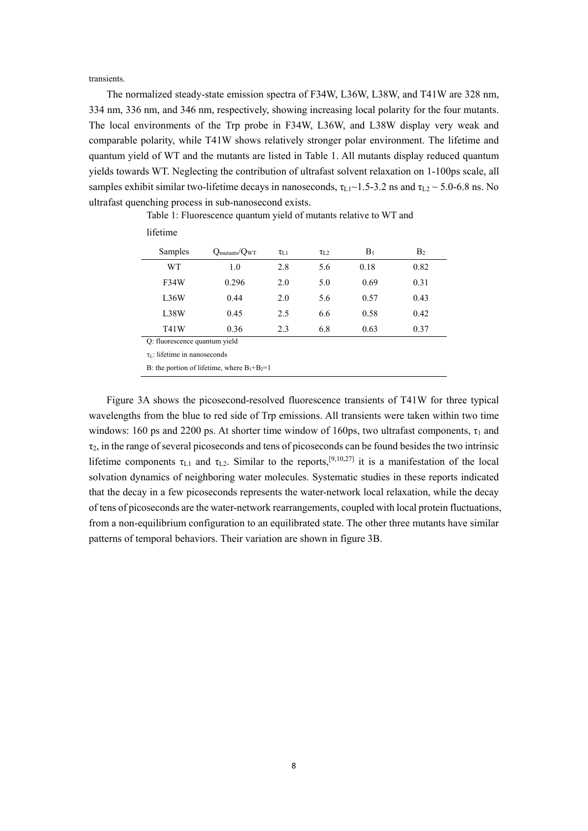transients.

The normalized steady-state emission spectra of F34W, L36W, L38W, and T41W are 328 nm, 334 nm, 336 nm, and 346 nm, respectively, showing increasing local polarity for the four mutants. The local environments of the Trp probe in F34W, L36W, and L38W display very weak and comparable polarity, while T41W shows relatively stronger polar environment. The lifetime and quantum yield of WT and the mutants are listed in Table 1. All mutants display reduced quantum yields towards WT. Neglecting the contribution of ultrafast solvent relaxation on 1-100ps scale, all samples exhibit similar two-lifetime decays in nanoseconds,  $\tau_{L1}$  ~ 1.5-3.2 ns and  $\tau_{L2}$  ~ 5.0-6.8 ns. No ultrafast quenching process in sub-nanosecond exists.

| Samples                                           | $Q_{\text{mutants}}/Q_{\text{WT}}$ | $\tau_{L1}$ | $\tau_{L2}$ | $B_1$ | B <sub>2</sub> |  |  |  |  |
|---------------------------------------------------|------------------------------------|-------------|-------------|-------|----------------|--|--|--|--|
| WT                                                | 1.0                                | 2.8         | 5.6         | 0.18  | 0.82           |  |  |  |  |
| F34W                                              | 0.296                              | 2.0         | 5.0         | 0.69  | 0.31           |  |  |  |  |
| L36W                                              | 0.44                               | 2.0         | 5.6         | 0.57  | 0.43           |  |  |  |  |
| L38W                                              | 0.45                               | 2.5         | 6.6         | 0.58  | 0.42           |  |  |  |  |
| T41W                                              | 0.36                               | 2.3         | 6.8         | 0.63  | 0.37           |  |  |  |  |
| Q: fluorescence quantum yield                     |                                    |             |             |       |                |  |  |  |  |
| $\tau_1$ : lifetime in nanoseconds                |                                    |             |             |       |                |  |  |  |  |
| B: the portion of lifetime, where $B_1 + B_2 = 1$ |                                    |             |             |       |                |  |  |  |  |

Table 1: Fluorescence quantum yield of mutants relative to WT and lifetime

Figure 3A shows the picosecond-resolved fluorescence transients of T41W for three typical wavelengths from the blue to red side of Trp emissions. All transients were taken within two time windows: 160 ps and 2200 ps. At shorter time window of 160ps, two ultrafast components,  $\tau_1$  and  $\tau_2$ , in the range of several picoseconds and tens of picoseconds can be found besides the two intrinsic lifetime components  $\tau_{L1}$  and  $\tau_{L2}$ . Similar to the reports,<sup>[9,10,27]</sup> it is a manifestation of the local solvation dynamics of neighboring water molecules. Systematic studies in these reports indicated that the decay in a few picoseconds represents the water-network local relaxation, while the decay of tens of picoseconds are the water-network rearrangements, coupled with local protein fluctuations, from a non-equilibrium configuration to an equilibrated state. The other three mutants have similar patterns of temporal behaviors. Their variation are shown in figure 3B.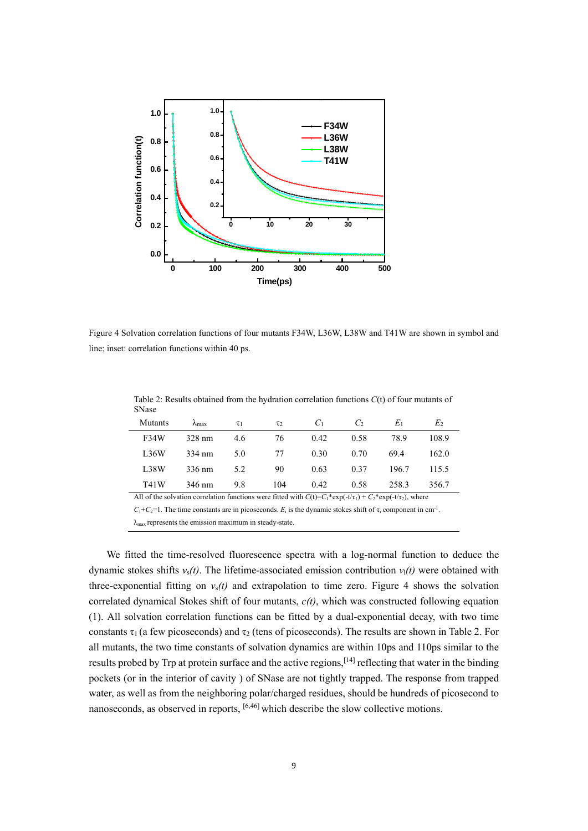

Figure 4 Solvation correlation functions of four mutants F34W, L36W, L38W and T41W are shown in symbol and line; inset: correlation functions within 40 ps.

Table 2: Results obtained from the hydration correlation functions *C*(t) of four mutants of SNase

| Mutants                                                                                                                            | $\lambda_{\text{max}}$ | $\tau_1$ | $\tau_2$ | C <sub>1</sub> | C,   | $E_1$ | E <sub>2</sub> |  |  |  |
|------------------------------------------------------------------------------------------------------------------------------------|------------------------|----------|----------|----------------|------|-------|----------------|--|--|--|
| F34W                                                                                                                               | 328 nm                 | 4.6      | 76       | 0.42           | 0.58 | 78.9  | 108.9          |  |  |  |
| L36W                                                                                                                               | 334 nm                 | 5.0      | 77       | 0.30           | 0.70 | 69.4  | 162.0          |  |  |  |
| L38W                                                                                                                               | 336 nm                 | 5.2      | 90       | 0.63           | 0.37 | 196.7 | 115.5          |  |  |  |
| T41W                                                                                                                               | 346 nm                 | 9.8      | 104      | 0.42           | 0.58 | 258.3 | 356.7          |  |  |  |
| All of the solvation correlation functions were fitted with $C(t)=C_1*exp(-t/\tau_1)+C_2*exp(-t/\tau_2)$ , where                   |                        |          |          |                |      |       |                |  |  |  |
| $C_1+C_2=1$ . The time constants are in picoseconds. $E_i$ is the dynamic stokes shift of $\tau_i$ component in cm <sup>-1</sup> . |                        |          |          |                |      |       |                |  |  |  |

 $\lambda_{\text{max}}$  represents the emission maximum in steady-state.

We fitted the time-resolved fluorescence spectra with a log-normal function to deduce the dynamic stokes shifts *ν*s*(t)*. The lifetime-associated emission contribution *ν*l*(t)* were obtained with three-exponential fitting on *ν*s*(t)* and extrapolation to time zero. Figure 4 shows the solvation correlated dynamical Stokes shift of four mutants, *c(t)*, which was constructed following equation (1). All solvation correlation functions can be fitted by a dual-exponential decay, with two time constants  $\tau_1$  (a few picoseconds) and  $\tau_2$  (tens of picoseconds). The results are shown in Table 2. For all mutants, the two time constants of solvation dynamics are within 10ps and 110ps similar to the results probed by Trp at protein surface and the active regions,[14] reflecting that water in the binding pockets (or in the interior of cavity ) of SNase are not tightly trapped. The response from trapped water, as well as from the neighboring polar/charged residues, should be hundreds of picosecond to nanoseconds, as observed in reports, <sup>[6,46]</sup> which describe the slow collective motions.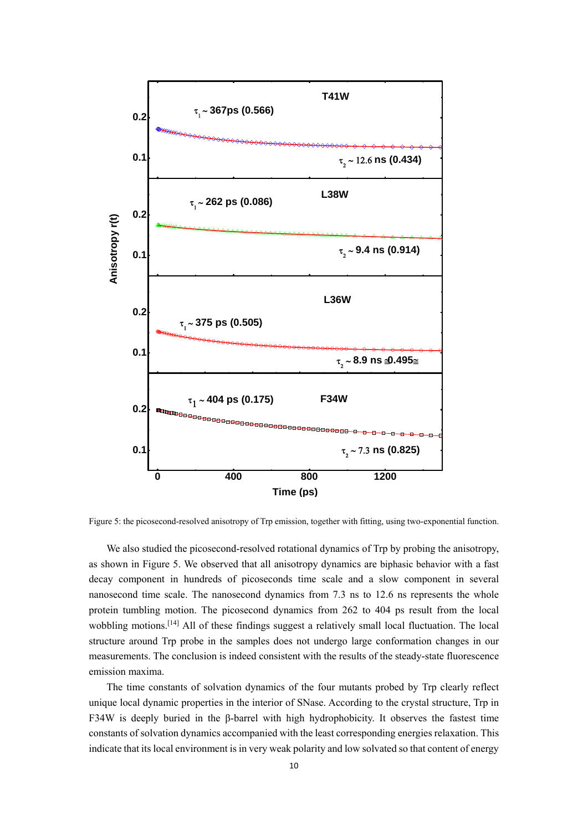

Figure 5: the picosecond-resolved anisotropy of Trp emission, together with fitting, using two-exponential function.

We also studied the picosecond-resolved rotational dynamics of Trp by probing the anisotropy, as shown in Figure 5. We observed that all anisotropy dynamics are biphasic behavior with a fast decay component in hundreds of picoseconds time scale and a slow component in several nanosecond time scale. The nanosecond dynamics from 7.3 ns to 12.6 ns represents the whole protein tumbling motion. The picosecond dynamics from 262 to 404 ps result from the local wobbling motions.<sup>[14]</sup> All of these findings suggest a relatively small local fluctuation. The local structure around Trp probe in the samples does not undergo large conformation changes in our measurements. The conclusion is indeed consistent with the results of the steady-state fluorescence emission maxima.

The time constants of solvation dynamics of the four mutants probed by Trp clearly reflect unique local dynamic properties in the interior of SNase. According to the crystal structure, Trp in F34W is deeply buried in the β-barrel with high hydrophobicity. It observes the fastest time constants of solvation dynamics accompanied with the least corresponding energies relaxation. This indicate that its local environment is in very weak polarity and low solvated so that content of energy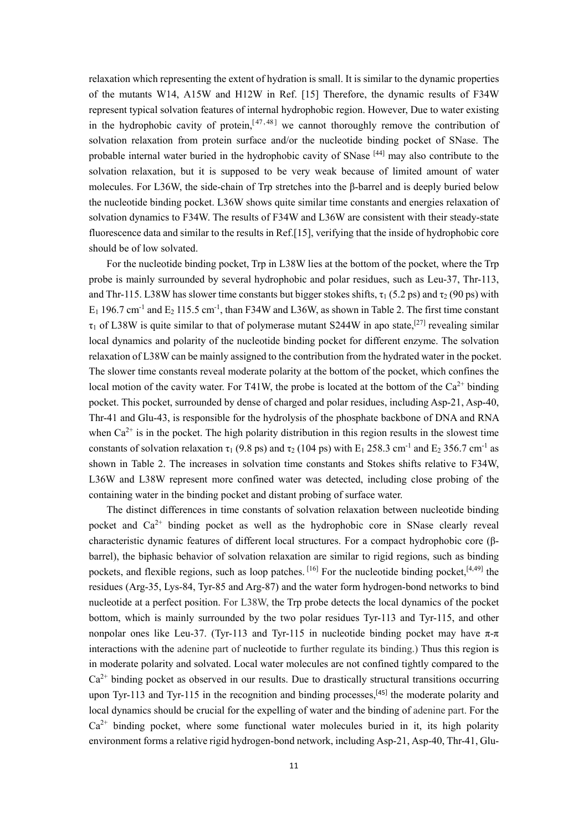relaxation which representing the extent of hydration is small. It is similar to the dynamic properties of the mutants W14, A15W and H12W in Ref. [15] Therefore, the dynamic results of F34W represent typical solvation features of internal hydrophobic region. However, Due to water existing in the hydrophobic cavity of protein,  $[47, 48]$  we cannot thoroughly remove the contribution of solvation relaxation from protein surface and/or the nucleotide binding pocket of SNase. The probable internal water buried in the hydrophobic cavity of SNase [44] may also contribute to the solvation relaxation, but it is supposed to be very weak because of limited amount of water molecules. For L36W, the side-chain of Trp stretches into the  $\beta$ -barrel and is deeply buried below the nucleotide binding pocket. L36W shows quite similar time constants and energies relaxation of solvation dynamics to F34W. The results of F34W and L36W are consistent with their steady-state fluorescence data and similar to the results in Ref.[15], verifying that the inside of hydrophobic core should be of low solvated.

For the nucleotide binding pocket, Trp in L38W lies at the bottom of the pocket, where the Trp probe is mainly surrounded by several hydrophobic and polar residues, such as Leu-37, Thr-113, and Thr-115. L38W has slower time constants but bigger stokes shifts,  $\tau_1$  (5.2 ps) and  $\tau_2$  (90 ps) with  $E_1$  196.7 cm<sup>-1</sup> and  $E_2$  115.5 cm<sup>-1</sup>, than F34W and L36W, as shown in Table 2. The first time constant  $\tau_1$  of L38W is quite similar to that of polymerase mutant S244W in apo state,<sup>[27]</sup> revealing similar local dynamics and polarity of the nucleotide binding pocket for different enzyme. The solvation relaxation of L38W can be mainly assigned to the contribution from the hydrated water in the pocket. The slower time constants reveal moderate polarity at the bottom of the pocket, which confines the local motion of the cavity water. For T41W, the probe is located at the bottom of the  $Ca^{2+}$  binding pocket. This pocket, surrounded by dense of charged and polar residues, including Asp-21, Asp-40, Thr-41 and Glu-43, is responsible for the hydrolysis of the phosphate backbone of DNA and RNA when  $Ca^{2+}$  is in the pocket. The high polarity distribution in this region results in the slowest time constants of solvation relaxation  $\tau_1$  (9.8 ps) and  $\tau_2$  (104 ps) with E<sub>1</sub> 258.3 cm<sup>-1</sup> and E<sub>2</sub> 356.7 cm<sup>-1</sup> as shown in Table 2. The increases in solvation time constants and Stokes shifts relative to F34W, L36W and L38W represent more confined water was detected, including close probing of the containing water in the binding pocket and distant probing of surface water.

The distinct differences in time constants of solvation relaxation between nucleotide binding pocket and  $Ca^{2+}$  binding pocket as well as the hydrophobic core in SNase clearly reveal characteristic dynamic features of different local structures. For a compact hydrophobic core (βbarrel), the biphasic behavior of solvation relaxation are similar to rigid regions, such as binding pockets, and flexible regions, such as loop patches. [16] For the nucleotide binding pocket, [4,49] the residues (Arg-35, Lys-84, Tyr-85 and Arg-87) and the water form hydrogen-bond networks to bind nucleotide at a perfect position. For L38W, the Trp probe detects the local dynamics of the pocket bottom, which is mainly surrounded by the two polar residues Tyr-113 and Tyr-115, and other nonpolar ones like Leu-37. (Tyr-113 and Tyr-115 in nucleotide binding pocket may have π-π interactions with the adenine part of nucleotide to further regulate its binding.) Thus this region is in moderate polarity and solvated. Local water molecules are not confined tightly compared to the  $Ca<sup>2+</sup>$  binding pocket as observed in our results. Due to drastically structural transitions occurring upon Tyr-113 and Tyr-115 in the recognition and binding processes,  $[45]$  the moderate polarity and local dynamics should be crucial for the expelling of water and the binding of adenine part. For the  $Ca^{2+}$  binding pocket, where some functional water molecules buried in it, its high polarity environment forms a relative rigid hydrogen-bond network, including Asp-21, Asp-40, Thr-41, Glu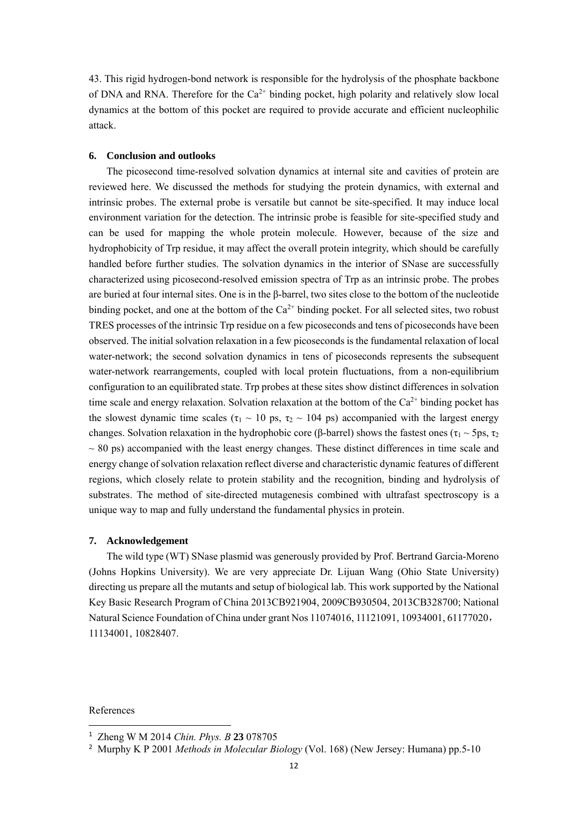43. This rigid hydrogen-bond network is responsible for the hydrolysis of the phosphate backbone of DNA and RNA. Therefore for the  $Ca^{2+}$  binding pocket, high polarity and relatively slow local dynamics at the bottom of this pocket are required to provide accurate and efficient nucleophilic attack.

# **6. Conclusion and outlooks**

The picosecond time-resolved solvation dynamics at internal site and cavities of protein are reviewed here. We discussed the methods for studying the protein dynamics, with external and intrinsic probes. The external probe is versatile but cannot be site-specified. It may induce local environment variation for the detection. The intrinsic probe is feasible for site-specified study and can be used for mapping the whole protein molecule. However, because of the size and hydrophobicity of Trp residue, it may affect the overall protein integrity, which should be carefully handled before further studies. The solvation dynamics in the interior of SNase are successfully characterized using picosecond-resolved emission spectra of Trp as an intrinsic probe. The probes are buried at four internal sites. One is in the β-barrel, two sites close to the bottom of the nucleotide binding pocket, and one at the bottom of the  $Ca^{2+}$  binding pocket. For all selected sites, two robust TRES processes of the intrinsic Trp residue on a few picoseconds and tens of picoseconds have been observed. The initial solvation relaxation in a few picoseconds is the fundamental relaxation of local water-network; the second solvation dynamics in tens of picoseconds represents the subsequent water-network rearrangements, coupled with local protein fluctuations, from a non-equilibrium configuration to an equilibrated state. Trp probes at these sites show distinct differences in solvation time scale and energy relaxation. Solvation relaxation at the bottom of the  $Ca^{2+}$  binding pocket has the slowest dynamic time scales ( $\tau_1 \sim 10$  ps,  $\tau_2 \sim 104$  ps) accompanied with the largest energy changes. Solvation relaxation in the hydrophobic core (β-barrel) shows the fastest ones (τ<sub>1</sub> ~ 5ps, τ<sub>2</sub>)  $\sim$  80 ps) accompanied with the least energy changes. These distinct differences in time scale and energy change of solvation relaxation reflect diverse and characteristic dynamic features of different regions, which closely relate to protein stability and the recognition, binding and hydrolysis of substrates. The method of site-directed mutagenesis combined with ultrafast spectroscopy is a unique way to map and fully understand the fundamental physics in protein.

### **7. Acknowledgement**

The wild type (WT) SNase plasmid was generously provided by Prof. Bertrand Garcia-Moreno (Johns Hopkins University). We are very appreciate Dr. Lijuan Wang (Ohio State University) directing us prepare all the mutants and setup of biological lab. This work supported by the National Key Basic Research Program of China 2013CB921904, 2009CB930504, 2013CB328700; National Natural Science Foundation of China under grant Nos 11074016, 11121091, 10934001, 61177020, 11134001, 10828407.

References

<sup>1</sup> Zheng W M 2014 *Chin. Phys. B* **23** 078705

<sup>2</sup> Murphy K P 2001 *Methods in Molecular Biology* (Vol. 168) (New Jersey: Humana) pp.5-10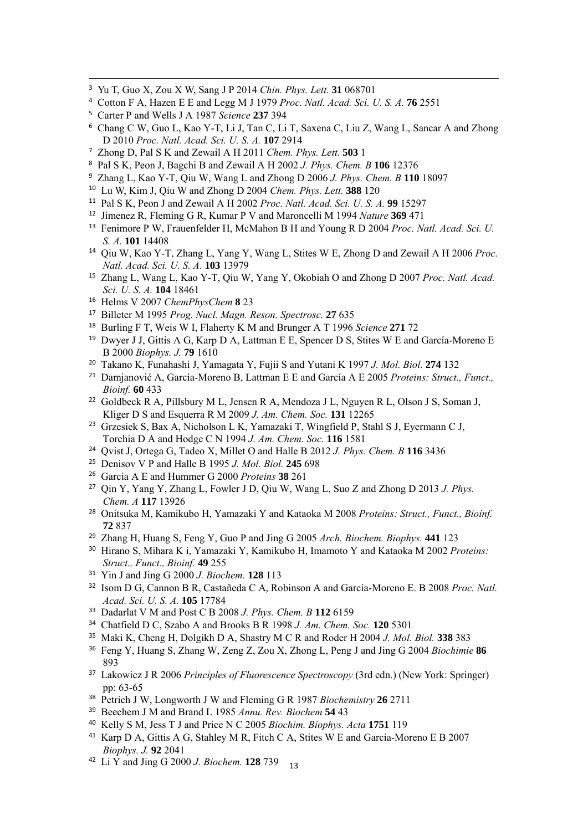- Yu T, Guo X, Zou X W, Sang J P 2014 *Chin. Phys. Lett.* **31** 068701
- Cotton F A, Hazen E E and Legg M J 1979 *Proc. Natl. Acad. Sci. U. S. A.* **76** 2551
- Carter P and Wells J A 1987 *Science* **237** 394
- Chang C W, Guo L, Kao Y-T, Li J, Tan C, Li T, Saxena C, Liu Z, Wang L, Sancar A and Zhong D 2010 *Proc. Natl. Acad. Sci. U. S. A.* **107** 2914

<u> 1989 - Johann Stoff, amerikansk fotballstruktur (d. 1989)</u>

- Zhong D, Pal S K and Zewail A H 2011 *Chem. Phys. Lett.* **503** 1
- Pal S K, Peon J, Bagchi B and Zewail A H 2002 *J. Phys. Chem. B* **106** 12376
- Zhang L, Kao Y-T, Qiu W, Wang L and Zhong D 2006 *J. Phys. Chem. B* **110** 18097
- Lu W, Kim J, Qiu W and Zhong D 2004 *Chem. Phys. Lett.* **388** 120
- Pal S K, Peon J and Zewail A H 2002 *Proc. Natl. Acad. Sci. U. S. A.* **99** 15297
- Jimenez R, Fleming G R, Kumar P V and Maroncelli M 1994 *Nature* **369** 471
- Fenimore P W, Frauenfelder H, McMahon B H and Young R D 2004 *Proc. Natl. Acad. Sci. U. S. A.* **101** 14408
- Qiu W, Kao Y-T, Zhang L, Yang Y, Wang L, Stites W E, Zhong D and Zewail A H 2006 *Proc. Natl. Acad. Sci. U. S. A.* **103** 13979
- Zhang L, Wang L, Kao Y-T, Qiu W, Yang Y, Okobiah O and Zhong D 2007 *Proc. Natl. Acad. Sci. U. S. A.* **104** 18461
- Helms V 2007 *ChemPhysChem* **8** 23
- Billeter M 1995 *Prog. Nucl. Magn. Reson. Spectrosc.* **27** 635
- Burling F T, Weis W I, Flaherty K M and Brunger A T 1996 *Science* **271** 72
- <sup>19</sup> Dwyer J J, Gittis A G, Karp D A, Lattman E E, Spencer D S, Stites W E and García-Moreno E B 2000 *Biophys. J.* **79** 1610
- Takano K, Funahashi J, Yamagata Y, Fujii S and Yutani K 1997 *J. Mol. Biol.* **274** 132
- Damjanović A, García-Moreno B, Lattman E E and García A E 2005 *Proteins: Struct., Funct., Bioinf.* **60** 433
- Goldbeck R A, Pillsbury M L, Jensen R A, Mendoza J L, Nguyen R L, Olson J S, Soman J, Kliger D S and Esquerra R M 2009 *J. Am. Chem. Soc.* **131** 12265
- Grzesiek S, Bax A, Nicholson L K, Yamazaki T, Wingfield P, Stahl S J, Eyermann C J, Torchia D A and Hodge C N 1994 *J. Am. Chem. Soc.* **116** 1581
- Qvist J, Ortega G, Tadeo X, Millet O and Halle B 2012 *J. Phys. Chem. B* **116** 3436
- Denisov V P and Halle B 1995 *J. Mol. Biol.* **245** 698
- Garcia A E and Hummer G 2000 *Proteins* **38** 261
- Qin Y, Yang Y, Zhang L, Fowler J D, Qiu W, Wang L, Suo Z and Zhong D 2013 *J. Phys. Chem. A* **117** 13926
- Onitsuka M, Kamikubo H, Yamazaki Y and Kataoka M 2008 *Proteins: Struct., Funct., Bioinf.* 837
- Zhang H, Huang S, Feng Y, Guo P and Jing G 2005 *Arch. Biochem. Biophys.* **441** 123
- Hirano S, Mihara K i, Yamazaki Y, Kamikubo H, Imamoto Y and Kataoka M 2002 *Proteins: Struct., Funct., Bioinf.* **49** 255
- Yin J and Jing G 2000 *J. Biochem.* **128** 113
- Isom D G, Cannon B R, Castañeda C A, Robinson A and García-Moreno E. B 2008 *Proc. Natl. Acad. Sci. U. S. A.* **105** 17784
- Dadarlat V M and Post C B 2008 *J. Phys. Chem. B* **112** 6159
- Chatfield D C, Szabo A and Brooks B R 1998 *J. Am. Chem. Soc.* **120** 5301
- Maki K, Cheng H, Dolgikh D A, Shastry M C R and Roder H 2004 *J. Mol. Biol.* **338** 383
- Feng Y, Huang S, Zhang W, Zeng Z, Zou X, Zhong L, Peng J and Jing G 2004 *Biochimie* **86**
- Lakowicz J R 2006 *Principles of Fluorescence Spectroscopy* (3rd edn.) (New York: Springer) pp: 63-65
- Petrich J W, Longworth J W and Fleming G R 1987 *Biochemistry* **26** 2711
- Beechem J M and Brand L 1985 *Annu. Rev. Biochem* **54** 43
- Kelly S M, Jess T J and Price N C 2005 *Biochim. Biophys. Acta* **1751** 119
- Karp D A, Gittis A G, Stahley M R, Fitch C A, Stites W E and Garcia-Moreno E B 2007 *Biophys. J.* **92** 2041
- Li Y and Jing G 2000 *J. Biochem.* **128** 739